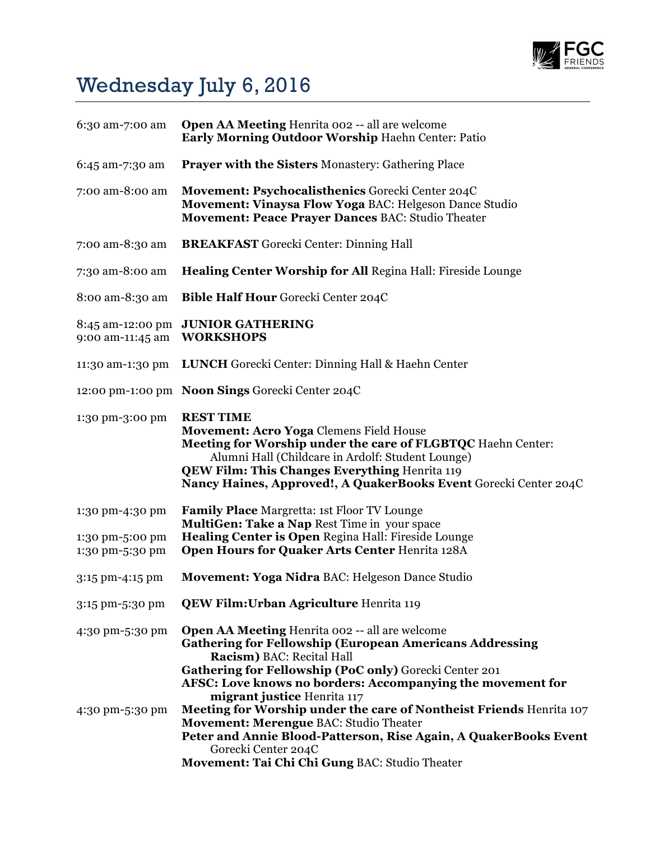

## Wednesday July 6, 2016

| 6:30 am-7:00 am                    | <b>Open AA Meeting Henrita 002 -- all are welcome</b><br>Early Morning Outdoor Worship Haehn Center: Patio                                                                                                                                                                                                         |
|------------------------------------|--------------------------------------------------------------------------------------------------------------------------------------------------------------------------------------------------------------------------------------------------------------------------------------------------------------------|
| 6:45 am-7:30 am                    | <b>Prayer with the Sisters Monastery: Gathering Place</b>                                                                                                                                                                                                                                                          |
| 7:00 am-8:00 am                    | Movement: Psychocalisthenics Gorecki Center 204C<br>Movement: Vinaysa Flow Yoga BAC: Helgeson Dance Studio<br>Movement: Peace Prayer Dances BAC: Studio Theater                                                                                                                                                    |
| 7:00 am-8:30 am                    | <b>BREAKFAST</b> Gorecki Center: Dinning Hall                                                                                                                                                                                                                                                                      |
| 7:30 am-8:00 am                    | <b>Healing Center Worship for All Regina Hall: Fireside Lounge</b>                                                                                                                                                                                                                                                 |
| 8:00 am-8:30 am                    | <b>Bible Half Hour Gorecki Center 204C</b>                                                                                                                                                                                                                                                                         |
| 9:00 am-11:45 am                   | 8:45 am-12:00 pm JUNIOR GATHERING<br><b>WORKSHOPS</b>                                                                                                                                                                                                                                                              |
| 11:30 am-1:30 pm                   | LUNCH Gorecki Center: Dinning Hall & Haehn Center                                                                                                                                                                                                                                                                  |
|                                    | 12:00 pm-1:00 pm Noon Sings Gorecki Center 204C                                                                                                                                                                                                                                                                    |
| 1:30 pm-3:00 pm                    | <b>REST TIME</b><br><b>Movement: Acro Yoga Clemens Field House</b><br>Meeting for Worship under the care of FLGBTQC Haehn Center:<br>Alumni Hall (Childcare in Ardolf: Student Lounge)<br><b>QEW Film: This Changes Everything Henrita 119</b><br>Nancy Haines, Approved!, A QuakerBooks Event Gorecki Center 204C |
| 1:30 pm-4:30 pm                    | <b>Family Place Margretta: 1st Floor TV Lounge</b><br>MultiGen: Take a Nap Rest Time in your space                                                                                                                                                                                                                 |
| 1:30 pm-5:00 pm<br>1:30 pm-5:30 pm | Healing Center is Open Regina Hall: Fireside Lounge<br>Open Hours for Quaker Arts Center Henrita 128A                                                                                                                                                                                                              |
| 3:15 pm-4:15 pm                    | Movement: Yoga Nidra BAC: Helgeson Dance Studio                                                                                                                                                                                                                                                                    |
| 3:15 pm-5:30 pm                    | QEW Film: Urban Agriculture Henrita 119                                                                                                                                                                                                                                                                            |
| 4:30 pm-5:30 pm                    | Open AA Meeting Henrita 002 -- all are welcome<br><b>Gathering for Fellowship (European Americans Addressing</b><br>Racism) BAC: Recital Hall<br>Gathering for Fellowship (PoC only) Gorecki Center 201<br>AFSC: Love knows no borders: Accompanying the movement for<br>migrant justice Henrita 117               |
| 4:30 pm-5:30 pm                    | Meeting for Worship under the care of Nontheist Friends Henrita 107<br>Movement: Merengue BAC: Studio Theater<br>Peter and Annie Blood-Patterson, Rise Again, A QuakerBooks Event<br>Gorecki Center 204C<br>Movement: Tai Chi Chi Gung BAC: Studio Theater                                                         |